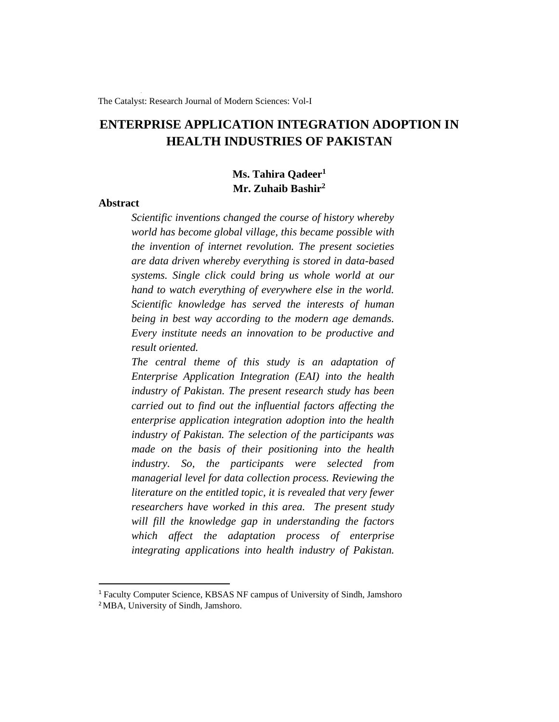The Catalyst: Research Journal of Modern Sciences: Vol-I

# **ENTERPRISE APPLICATION INTEGRATION ADOPTION IN HEALTH INDUSTRIES OF PAKISTAN**

# **Ms. Tahira Qadeer<sup>1</sup> Mr. Zuhaib Bashir<sup>2</sup>**

#### **Abstract**

*Scientific inventions changed the course of history whereby world has become global village, this became possible with the invention of internet revolution. The present societies are data driven whereby everything is stored in data-based systems. Single click could bring us whole world at our hand to watch everything of everywhere else in the world. Scientific knowledge has served the interests of human being in best way according to the modern age demands. Every institute needs an innovation to be productive and result oriented.*

*The central theme of this study is an adaptation of Enterprise Application Integration (EAI) into the health industry of Pakistan. The present research study has been carried out to find out the influential factors affecting the enterprise application integration adoption into the health industry of Pakistan. The selection of the participants was made on the basis of their positioning into the health industry. So, the participants were selected from managerial level for data collection process. Reviewing the literature on the entitled topic, it is revealed that very fewer researchers have worked in this area. The present study will fill the knowledge gap in understanding the factors which affect the adaptation process of enterprise integrating applications into health industry of Pakistan.* 

<sup>1</sup> Faculty Computer Science, KBSAS NF campus of University of Sindh, Jamshoro <sup>2</sup>MBA, University of Sindh, Jamshoro.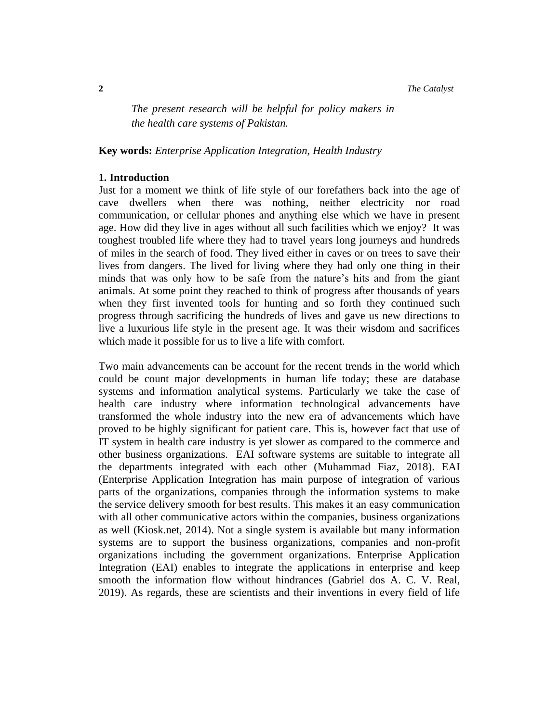**2** *The Catalyst*

*The present research will be helpful for policy makers in the health care systems of Pakistan.* 

**Key words:** *Enterprise Application Integration, Health Industry*

#### **1. Introduction**

Just for a moment we think of life style of our forefathers back into the age of cave dwellers when there was nothing, neither electricity nor road communication, or cellular phones and anything else which we have in present age. How did they live in ages without all such facilities which we enjoy? It was toughest troubled life where they had to travel years long journeys and hundreds of miles in the search of food. They lived either in caves or on trees to save their lives from dangers. The lived for living where they had only one thing in their minds that was only how to be safe from the nature's hits and from the giant animals. At some point they reached to think of progress after thousands of years when they first invented tools for hunting and so forth they continued such progress through sacrificing the hundreds of lives and gave us new directions to live a luxurious life style in the present age. It was their wisdom and sacrifices which made it possible for us to live a life with comfort.

Two main advancements can be account for the recent trends in the world which could be count major developments in human life today; these are database systems and information analytical systems. Particularly we take the case of health care industry where information technological advancements have transformed the whole industry into the new era of advancements which have proved to be highly significant for patient care. This is, however fact that use of IT system in health care industry is yet slower as compared to the commerce and other business organizations. EAI software systems are suitable to integrate all the departments integrated with each other (Muhammad Fiaz, 2018). EAI (Enterprise Application Integration has main purpose of integration of various parts of the organizations, companies through the information systems to make the service delivery smooth for best results. This makes it an easy communication with all other communicative actors within the companies, business organizations as well (Kiosk.net, 2014). Not a single system is available but many information systems are to support the business organizations, companies and non-profit organizations including the government organizations. Enterprise Application Integration (EAI) enables to integrate the applications in enterprise and keep smooth the information flow without hindrances (Gabriel dos A. C. V. Real, 2019). As regards, these are scientists and their inventions in every field of life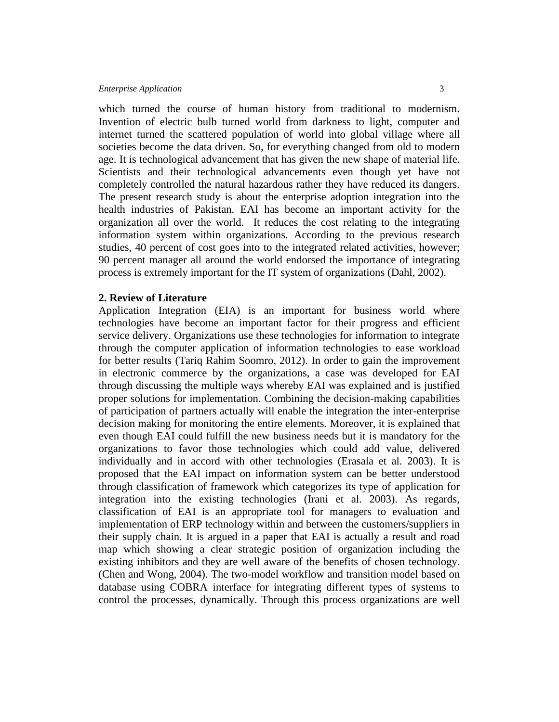which turned the course of human history from traditional to modernism. Invention of electric bulb turned world from darkness to light, computer and internet turned the scattered population of world into global village where all societies become the data driven. So, for everything changed from old to modern age. It is technological advancement that has given the new shape of material life. Scientists and their technological advancements even though yet have not completely controlled the natural hazardous rather they have reduced its dangers. The present research study is about the enterprise adoption integration into the health industries of Pakistan. EAI has become an important activity for the organization all over the world. It reduces the cost relating to the integrating information system within organizations. According to the previous research studies, 40 percent of cost goes into to the integrated related activities, however; 90 percent manager all around the world endorsed the importance of integrating process is extremely important for the IT system of organizations (Dahl, 2002).

## **2. Review of Literature**

Application Integration (EIA) is an important for business world where technologies have become an important factor for their progress and efficient service delivery. Organizations use these technologies for information to integrate through the computer application of information technologies to ease workload for better results (Tariq Rahim Soomro, 2012). In order to gain the improvement in electronic commerce by the organizations, a case was developed for EAI through discussing the multiple ways whereby EAI was explained and is justified proper solutions for implementation. Combining the decision-making capabilities of participation of partners actually will enable the integration the inter-enterprise decision making for monitoring the entire elements. Moreover, it is explained that even though EAI could fulfill the new business needs but it is mandatory for the organizations to favor those technologies which could add value, delivered individually and in accord with other technologies (Erasala et al. 2003). It is proposed that the EAI impact on information system can be better understood through classification of framework which categorizes its type of application for integration into the existing technologies (Irani et al. 2003). As regards, classification of EAI is an appropriate tool for managers to evaluation and implementation of ERP technology within and between the customers/suppliers in their supply chain. It is argued in a paper that EAI is actually a result and road map which showing a clear strategic position of organization including the existing inhibitors and they are well aware of the benefits of chosen technology. (Chen and Wong, 2004). The two-model workflow and transition model based on database using COBRA interface for integrating different types of systems to control the processes, dynamically. Through this process organizations are well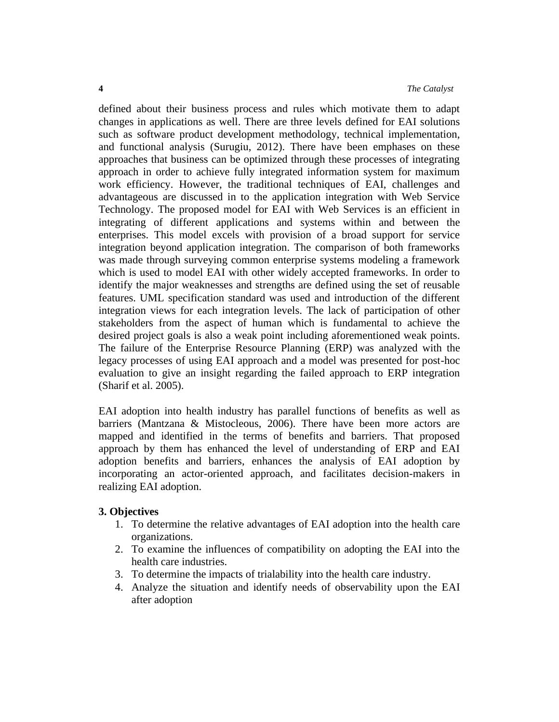defined about their business process and rules which motivate them to adapt changes in applications as well. There are three levels defined for EAI solutions such as software product development methodology, technical implementation, and functional analysis (Surugiu, 2012). There have been emphases on these approaches that business can be optimized through these processes of integrating approach in order to achieve fully integrated information system for maximum work efficiency. However, the traditional techniques of EAI, challenges and advantageous are discussed in to the application integration with Web Service Technology. The proposed model for EAI with Web Services is an efficient in integrating of different applications and systems within and between the enterprises. This model excels with provision of a broad support for service integration beyond application integration. The comparison of both frameworks was made through surveying common enterprise systems modeling a framework which is used to model EAI with other widely accepted frameworks. In order to identify the major weaknesses and strengths are defined using the set of reusable features. UML specification standard was used and introduction of the different integration views for each integration levels. The lack of participation of other stakeholders from the aspect of human which is fundamental to achieve the desired project goals is also a weak point including aforementioned weak points. The failure of the Enterprise Resource Planning (ERP) was analyzed with the legacy processes of using EAI approach and a model was presented for post-hoc evaluation to give an insight regarding the failed approach to ERP integration (Sharif et al. 2005).

EAI adoption into health industry has parallel functions of benefits as well as barriers (Mantzana & Mistocleous, 2006). There have been more actors are mapped and identified in the terms of benefits and barriers. That proposed approach by them has enhanced the level of understanding of ERP and EAI adoption benefits and barriers, enhances the analysis of EAI adoption by incorporating an actor-oriented approach, and facilitates decision-makers in realizing EAI adoption.

## **3. Objectives**

- 1. To determine the relative advantages of EAI adoption into the health care organizations.
- 2. To examine the influences of compatibility on adopting the EAI into the health care industries.
- 3. To determine the impacts of trialability into the health care industry.
- 4. Analyze the situation and identify needs of observability upon the EAI after adoption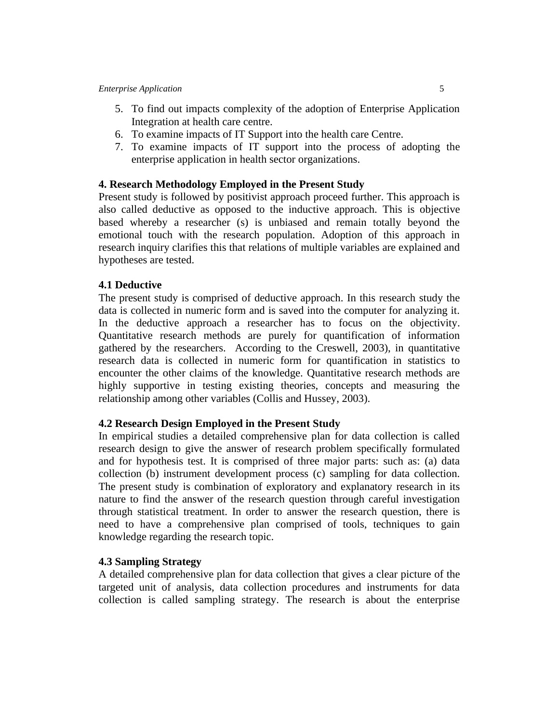- 5. To find out impacts complexity of the adoption of Enterprise Application Integration at health care centre.
- 6. To examine impacts of IT Support into the health care Centre.
- 7. To examine impacts of IT support into the process of adopting the enterprise application in health sector organizations.

## **4. Research Methodology Employed in the Present Study**

Present study is followed by positivist approach proceed further. This approach is also called deductive as opposed to the inductive approach. This is objective based whereby a researcher (s) is unbiased and remain totally beyond the emotional touch with the research population. Adoption of this approach in research inquiry clarifies this that relations of multiple variables are explained and hypotheses are tested.

## **4.1 Deductive**

The present study is comprised of deductive approach. In this research study the data is collected in numeric form and is saved into the computer for analyzing it. In the deductive approach a researcher has to focus on the objectivity. Quantitative research methods are purely for quantification of information gathered by the researchers. According to the Creswell, 2003), in quantitative research data is collected in numeric form for quantification in statistics to encounter the other claims of the knowledge. Quantitative research methods are highly supportive in testing existing theories, concepts and measuring the relationship among other variables (Collis and Hussey, 2003).

## **4.2 Research Design Employed in the Present Study**

In empirical studies a detailed comprehensive plan for data collection is called research design to give the answer of research problem specifically formulated and for hypothesis test. It is comprised of three major parts: such as: (a) data collection (b) instrument development process (c) sampling for data collection. The present study is combination of exploratory and explanatory research in its nature to find the answer of the research question through careful investigation through statistical treatment. In order to answer the research question, there is need to have a comprehensive plan comprised of tools, techniques to gain knowledge regarding the research topic.

## **4.3 Sampling Strategy**

A detailed comprehensive plan for data collection that gives a clear picture of the targeted unit of analysis, data collection procedures and instruments for data collection is called sampling strategy. The research is about the enterprise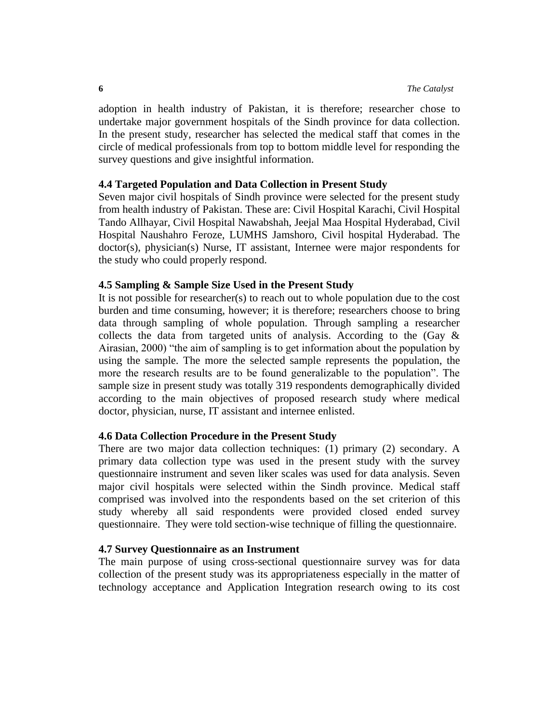adoption in health industry of Pakistan, it is therefore; researcher chose to undertake major government hospitals of the Sindh province for data collection. In the present study, researcher has selected the medical staff that comes in the circle of medical professionals from top to bottom middle level for responding the survey questions and give insightful information.

#### **4.4 Targeted Population and Data Collection in Present Study**

Seven major civil hospitals of Sindh province were selected for the present study from health industry of Pakistan. These are: Civil Hospital Karachi, Civil Hospital Tando Allhayar, Civil Hospital Nawabshah, Jeejal Maa Hospital Hyderabad, Civil Hospital Naushahro Feroze, LUMHS Jamshoro, Civil hospital Hyderabad. The doctor(s), physician(s) Nurse, IT assistant, Internee were major respondents for the study who could properly respond.

#### **4.5 Sampling & Sample Size Used in the Present Study**

It is not possible for researcher(s) to reach out to whole population due to the cost burden and time consuming, however; it is therefore; researchers choose to bring data through sampling of whole population. Through sampling a researcher collects the data from targeted units of analysis. According to the (Gay & Airasian, 2000) "the aim of sampling is to get information about the population by using the sample. The more the selected sample represents the population, the more the research results are to be found generalizable to the population". The sample size in present study was totally 319 respondents demographically divided according to the main objectives of proposed research study where medical doctor, physician, nurse, IT assistant and internee enlisted.

## **4.6 Data Collection Procedure in the Present Study**

There are two major data collection techniques: (1) primary (2) secondary. A primary data collection type was used in the present study with the survey questionnaire instrument and seven liker scales was used for data analysis. Seven major civil hospitals were selected within the Sindh province. Medical staff comprised was involved into the respondents based on the set criterion of this study whereby all said respondents were provided closed ended survey questionnaire. They were told section-wise technique of filling the questionnaire.

#### **4.7 Survey Questionnaire as an Instrument**

The main purpose of using cross-sectional questionnaire survey was for data collection of the present study was its appropriateness especially in the matter of technology acceptance and Application Integration research owing to its cost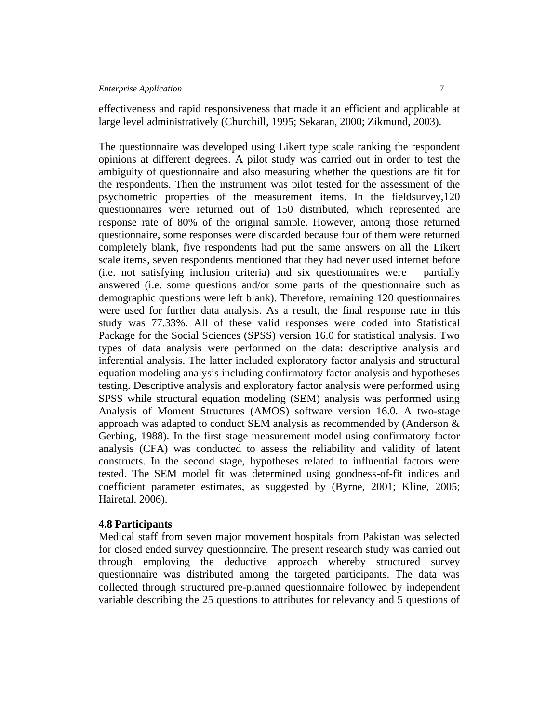effectiveness and rapid responsiveness that made it an efficient and applicable at large level administratively (Churchill, 1995; Sekaran, 2000; Zikmund, 2003).

The questionnaire was developed using Likert type scale ranking the respondent opinions at different degrees. A pilot study was carried out in order to test the ambiguity of questionnaire and also measuring whether the questions are fit for the respondents. Then the instrument was pilot tested for the assessment of the psychometric properties of the measurement items. In the fieldsurvey,120 questionnaires were returned out of 150 distributed, which represented are response rate of 80% of the original sample. However, among those returned questionnaire, some responses were discarded because four of them were returned completely blank, five respondents had put the same answers on all the Likert scale items, seven respondents mentioned that they had never used internet before (i.e. not satisfying inclusion criteria) and six questionnaires were partially answered (i.e. some questions and/or some parts of the questionnaire such as demographic questions were left blank). Therefore, remaining 120 questionnaires were used for further data analysis. As a result, the final response rate in this study was 77.33%. All of these valid responses were coded into Statistical Package for the Social Sciences (SPSS) version 16.0 for statistical analysis. Two types of data analysis were performed on the data: descriptive analysis and inferential analysis. The latter included exploratory factor analysis and structural equation modeling analysis including confirmatory factor analysis and hypotheses testing. Descriptive analysis and exploratory factor analysis were performed using SPSS while structural equation modeling (SEM) analysis was performed using Analysis of Moment Structures (AMOS) software version 16.0. A two-stage approach was adapted to conduct SEM analysis as recommended by (Anderson & Gerbing, 1988). In the first stage measurement model using confirmatory factor analysis (CFA) was conducted to assess the reliability and validity of latent constructs. In the second stage, hypotheses related to influential factors were tested. The SEM model fit was determined using goodness-of-fit indices and coefficient parameter estimates, as suggested by (Byrne, 2001; Kline, 2005; Hairetal. 2006).

#### **4.8 Participants**

Medical staff from seven major movement hospitals from Pakistan was selected for closed ended survey questionnaire. The present research study was carried out through employing the deductive approach whereby structured survey questionnaire was distributed among the targeted participants. The data was collected through structured pre-planned questionnaire followed by independent variable describing the 25 questions to attributes for relevancy and 5 questions of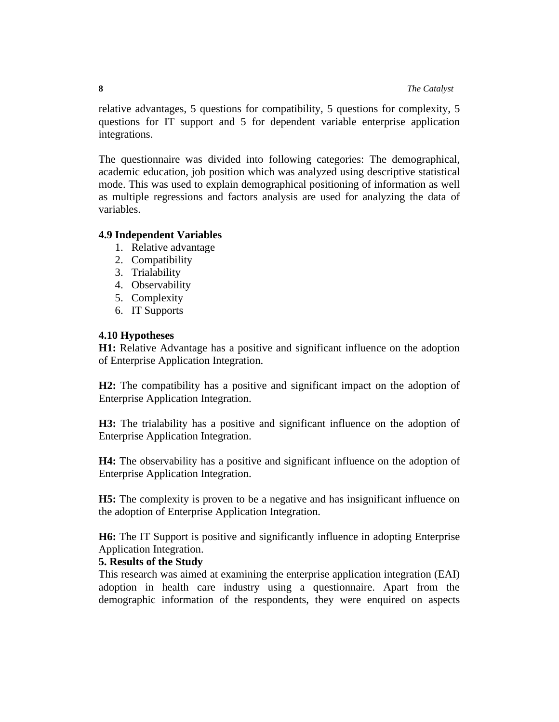relative advantages, 5 questions for compatibility, 5 questions for complexity, 5 questions for IT support and 5 for dependent variable enterprise application integrations.

The questionnaire was divided into following categories: The demographical, academic education, job position which was analyzed using descriptive statistical mode. This was used to explain demographical positioning of information as well as multiple regressions and factors analysis are used for analyzing the data of variables.

# **4.9 Independent Variables**

- 1. Relative advantage
- 2. Compatibility
- 3. Trialability
- 4. Observability
- 5. Complexity
- 6. IT Supports

# **4.10 Hypotheses**

**H1:** Relative Advantage has a positive and significant influence on the adoption of Enterprise Application Integration.

**H2:** The compatibility has a positive and significant impact on the adoption of Enterprise Application Integration.

**H3:** The trialability has a positive and significant influence on the adoption of Enterprise Application Integration.

**H4:** The observability has a positive and significant influence on the adoption of Enterprise Application Integration.

**H5:** The complexity is proven to be a negative and has insignificant influence on the adoption of Enterprise Application Integration.

**H6:** The IT Support is positive and significantly influence in adopting Enterprise Application Integration.

## **5. Results of the Study**

This research was aimed at examining the enterprise application integration (EAI) adoption in health care industry using a questionnaire. Apart from the demographic information of the respondents, they were enquired on aspects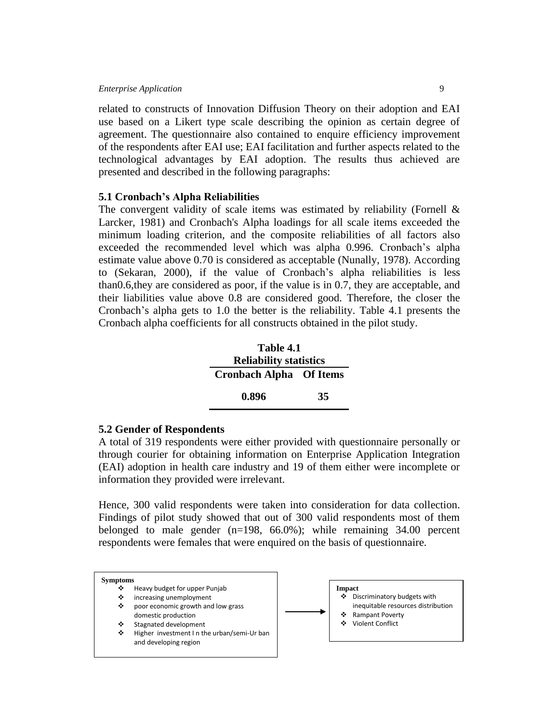related to constructs of Innovation Diffusion Theory on their adoption and EAI use based on a Likert type scale describing the opinion as certain degree of agreement. The questionnaire also contained to enquire efficiency improvement of the respondents after EAI use; EAI facilitation and further aspects related to the technological advantages by EAI adoption. The results thus achieved are presented and described in the following paragraphs:

#### **5.1 Cronbach's Alpha Reliabilities**

The convergent validity of scale items was estimated by reliability (Fornell  $\&$ Larcker, 1981) and Cronbach's Alpha loadings for all scale items exceeded the minimum loading criterion, and the composite reliabilities of all factors also exceeded the recommended level which was alpha 0.996. Cronbach's alpha estimate value above 0.70 is considered as acceptable (Nunally, 1978). According to (Sekaran, 2000), if the value of Cronbach's alpha reliabilities is less than0.6,they are considered as poor, if the value is in 0.7, they are acceptable, and their liabilities value above 0.8 are considered good. Therefore, the closer the Cronbach's alpha gets to 1.0 the better is the reliability. Table 4.1 presents the Cronbach alpha coefficients for all constructs obtained in the pilot study.

| Table 4.1                      |    |  |  |  |
|--------------------------------|----|--|--|--|
| <b>Reliability statistics</b>  |    |  |  |  |
| <b>Cronbach Alpha Of Items</b> |    |  |  |  |
| 0.896                          | 35 |  |  |  |

#### **5.2 Gender of Respondents**

A total of 319 respondents were either provided with questionnaire personally or through courier for obtaining information on Enterprise Application Integration (EAI) adoption in health care industry and 19 of them either were incomplete or information they provided were irrelevant.

Hence, 300 valid respondents were taken into consideration for data collection. Findings of pilot study showed that out of 300 valid respondents most of them belonged to male gender (n=198, 66.0%); while remaining 34.00 percent respondents were females that were enquired on the basis of questionnaire.

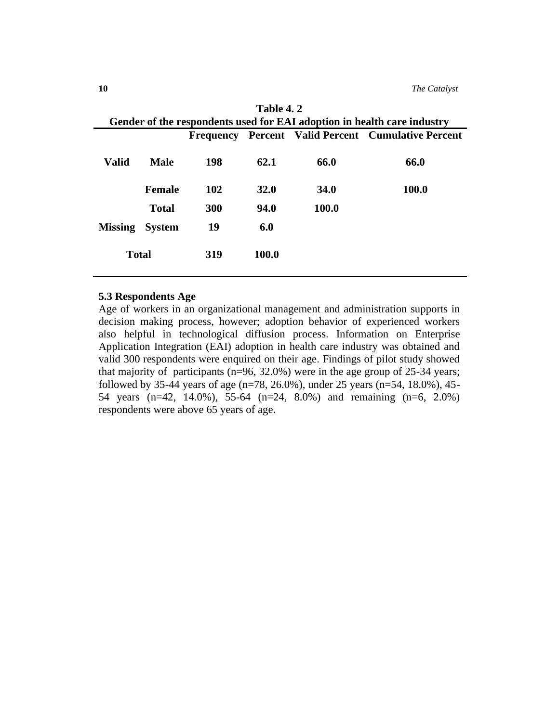|                |               |     | Table 4.2   |             |                                                                         |
|----------------|---------------|-----|-------------|-------------|-------------------------------------------------------------------------|
|                |               |     |             |             | Gender of the respondents used for EAI adoption in health care industry |
|                |               |     |             |             | Frequency Percent Valid Percent Cumulative Percent                      |
| <b>Valid</b>   | Male          | 198 | 62.1        | 66.0        | 66.0                                                                    |
|                | <b>Female</b> | 102 | <b>32.0</b> | <b>34.0</b> | 100.0                                                                   |
|                | <b>Total</b>  | 300 | 94.0        | 100.0       |                                                                         |
| <b>Missing</b> | <b>System</b> | 19  | 6.0         |             |                                                                         |
| <b>Total</b>   |               | 319 | 100.0       |             |                                                                         |

# **5.3 Respondents Age**

Age of workers in an organizational management and administration supports in decision making process, however; adoption behavior of experienced workers also helpful in technological diffusion process. Information on Enterprise Application Integration (EAI) adoption in health care industry was obtained and valid 300 respondents were enquired on their age. Findings of pilot study showed that majority of participants ( $n=96, 32.0\%$ ) were in the age group of 25-34 years; followed by 35-44 years of age ( $n=78$ , 26.0%), under 25 years ( $n=54$ , 18.0%), 45-54 years (n=42, 14.0%), 55-64 (n=24, 8.0%) and remaining (n=6, 2.0%) respondents were above 65 years of age.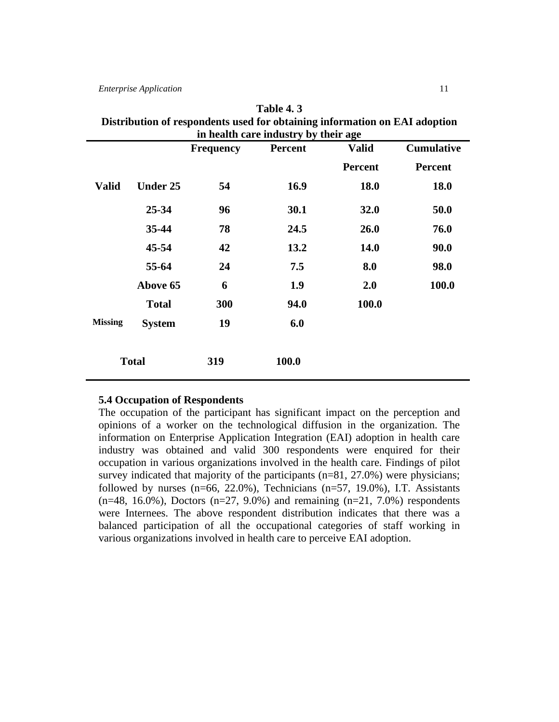| Distribution of respondents used for obtaining information on EAI adoption |                                                                         |     |                                      |                |                |  |  |
|----------------------------------------------------------------------------|-------------------------------------------------------------------------|-----|--------------------------------------|----------------|----------------|--|--|
|                                                                            |                                                                         |     | in health care industry by their age |                |                |  |  |
|                                                                            | <b>Cumulative</b><br><b>Percent</b><br><b>Frequency</b><br><b>Valid</b> |     |                                      |                |                |  |  |
|                                                                            |                                                                         |     |                                      | <b>Percent</b> | <b>Percent</b> |  |  |
| <b>Valid</b>                                                               | <b>Under 25</b>                                                         | 54  | 16.9                                 | <b>18.0</b>    | <b>18.0</b>    |  |  |
|                                                                            | $25 - 34$                                                               | 96  | 30.1                                 | 32.0           | 50.0           |  |  |
|                                                                            | 35-44                                                                   | 78  | 24.5                                 | 26.0           | 76.0           |  |  |
|                                                                            | 45-54                                                                   | 42  | 13.2                                 | <b>14.0</b>    | 90.0           |  |  |
|                                                                            | 55-64                                                                   | 24  | 7.5                                  | 8.0            | 98.0           |  |  |
|                                                                            | Above 65                                                                | 6   | 1.9                                  | 2.0            | 100.0          |  |  |
|                                                                            | <b>Total</b>                                                            | 300 | 94.0                                 | 100.0          |                |  |  |
| <b>Missing</b>                                                             | <b>System</b>                                                           | 19  | 6.0                                  |                |                |  |  |
| 100.0<br><b>Total</b><br>319                                               |                                                                         |     |                                      |                |                |  |  |

| <b>Table 4.3</b>                                                           |
|----------------------------------------------------------------------------|
| Distribution of respondents used for obtaining information on EAI adoption |
| in health care industry by their age                                       |

#### **5.4 Occupation of Respondents**

The occupation of the participant has significant impact on the perception and opinions of a worker on the technological diffusion in the organization. The information on Enterprise Application Integration (EAI) adoption in health care industry was obtained and valid 300 respondents were enquired for their occupation in various organizations involved in the health care. Findings of pilot survey indicated that majority of the participants (n=81, 27.0%) were physicians; followed by nurses  $(n=66, 22.0\%)$ , Technicians  $(n=57, 19.0\%)$ , I.T. Assistants (n=48, 16.0%), Doctors (n=27, 9.0%) and remaining (n=21, 7.0%) respondents were Internees. The above respondent distribution indicates that there was a balanced participation of all the occupational categories of staff working in various organizations involved in health care to perceive EAI adoption.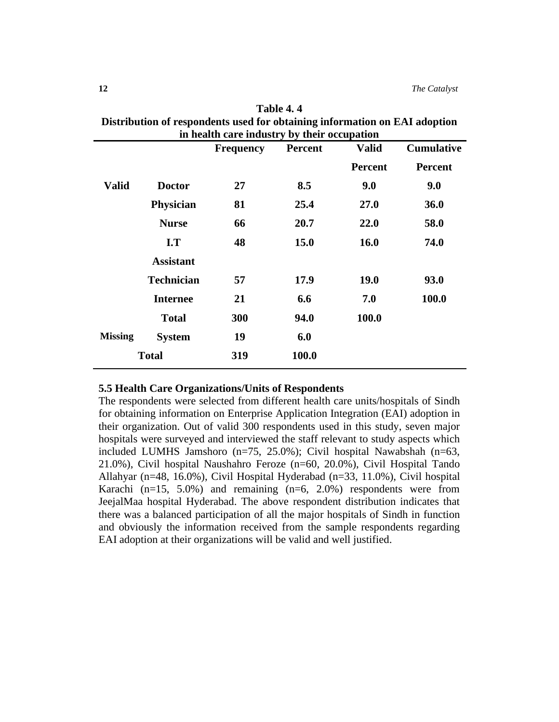| Distribution of respondents used for obtaining information on EA1 adoption |                         |                                                                         |             |                |                |  |
|----------------------------------------------------------------------------|-------------------------|-------------------------------------------------------------------------|-------------|----------------|----------------|--|
|                                                                            |                         | in health care industry by their occupation                             |             |                |                |  |
|                                                                            |                         | <b>Cumulative</b><br><b>Valid</b><br><b>Frequency</b><br><b>Percent</b> |             |                |                |  |
|                                                                            |                         |                                                                         |             | <b>Percent</b> | <b>Percent</b> |  |
| <b>Valid</b>                                                               | <b>Doctor</b>           | 27                                                                      | 8.5         | 9.0            | 9.0            |  |
|                                                                            | <b>Physician</b>        | 81                                                                      | 25.4        | 27.0           | <b>36.0</b>    |  |
|                                                                            | <b>Nurse</b>            | 66                                                                      | 20.7        | 22.0           | 58.0           |  |
|                                                                            | $\mathbf{I}.\mathbf{T}$ | 48                                                                      | <b>15.0</b> | <b>16.0</b>    | 74.0           |  |
|                                                                            | <b>Assistant</b>        |                                                                         |             |                |                |  |
|                                                                            | <b>Technician</b>       | 57                                                                      | 17.9        | <b>19.0</b>    | 93.0           |  |
|                                                                            | <b>Internee</b>         | 21                                                                      | 6.6         | 7.0            | 100.0          |  |
|                                                                            | <b>Total</b>            | 300                                                                     | 94.0        | 100.0          |                |  |
| <b>Missing</b>                                                             | <b>System</b>           | 19                                                                      | 6.0         |                |                |  |
| <b>Total</b><br>100.0<br>319                                               |                         |                                                                         |             |                |                |  |

| Table 4.4                                                                  |
|----------------------------------------------------------------------------|
| Distribution of respondents used for obtaining information on EAI adoption |
| in health care industry by their occupation                                |

## **5.5 Health Care Organizations/Units of Respondents**

The respondents were selected from different health care units/hospitals of Sindh for obtaining information on Enterprise Application Integration (EAI) adoption in their organization. Out of valid 300 respondents used in this study, seven major hospitals were surveyed and interviewed the staff relevant to study aspects which included LUMHS Jamshoro (n=75, 25.0%); Civil hospital Nawabshah (n=63, 21.0%), Civil hospital Naushahro Feroze (n=60, 20.0%), Civil Hospital Tando Allahyar (n=48, 16.0%), Civil Hospital Hyderabad (n=33, 11.0%), Civil hospital Karachi  $(n=15, 5.0%)$  and remaining  $(n=6, 2.0%)$  respondents were from JeejalMaa hospital Hyderabad. The above respondent distribution indicates that there was a balanced participation of all the major hospitals of Sindh in function and obviously the information received from the sample respondents regarding EAI adoption at their organizations will be valid and well justified.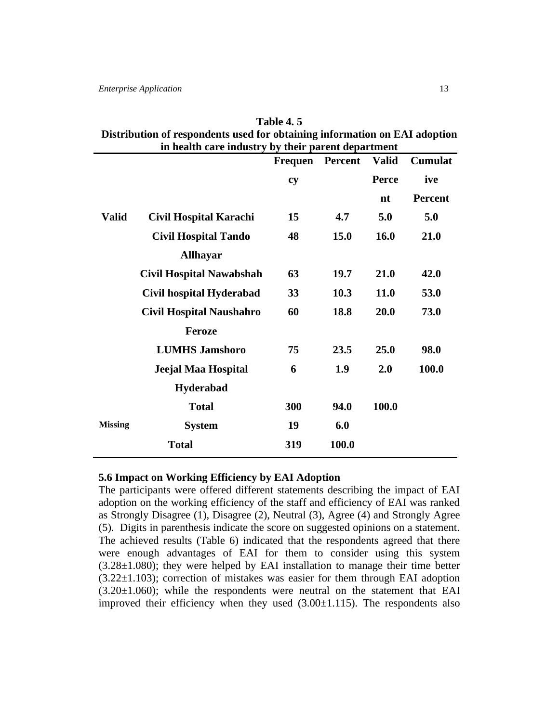|                | Distribution of respondents used for obtaining information on EAI adoption<br>in health care industry by their parent department |         |         |              |                |
|----------------|----------------------------------------------------------------------------------------------------------------------------------|---------|---------|--------------|----------------|
|                |                                                                                                                                  | Frequen | Percent | <b>Valid</b> | Cumulat        |
|                |                                                                                                                                  | cy      |         | Perce        | ive            |
|                |                                                                                                                                  |         |         | nt           | <b>Percent</b> |
| <b>Valid</b>   | Civil Hospital Karachi                                                                                                           | 15      | 4.7     | 5.0          | 5.0            |
|                | <b>Civil Hospital Tando</b>                                                                                                      | 48      | 15.0    | 16.0         | 21.0           |
|                | <b>Allhayar</b>                                                                                                                  |         |         |              |                |
|                | <b>Civil Hospital Nawabshah</b>                                                                                                  | 63      | 19.7    | 21.0         | 42.0           |
|                | Civil hospital Hyderabad                                                                                                         | 33      | 10.3    | 11.0         | 53.0           |
|                | <b>Civil Hospital Naushahro</b>                                                                                                  | 60      | 18.8    | 20.0         | 73.0           |
|                | <b>Feroze</b>                                                                                                                    |         |         |              |                |
|                | <b>LUMHS Jamshoro</b>                                                                                                            | 75      | 23.5    | 25.0         | 98.0           |
|                | Jeejal Maa Hospital                                                                                                              | 6       | 1.9     | 2.0          | 100.0          |
|                | <b>Hyderabad</b>                                                                                                                 |         |         |              |                |
|                | <b>Total</b>                                                                                                                     | 300     | 94.0    | 100.0        |                |
| <b>Missing</b> | <b>System</b>                                                                                                                    | 19      | 6.0     |              |                |
|                | <b>Total</b>                                                                                                                     | 319     | 100.0   |              |                |

**Table 4. 5 Distribution of respondents used for obtaining information on EAI adoption** 

#### **5.6 Impact on Working Efficiency by EAI Adoption**

The participants were offered different statements describing the impact of EAI adoption on the working efficiency of the staff and efficiency of EAI was ranked as Strongly Disagree (1), Disagree (2), Neutral (3), Agree (4) and Strongly Agree (5). Digits in parenthesis indicate the score on suggested opinions on a statement. The achieved results (Table 6) indicated that the respondents agreed that there were enough advantages of EAI for them to consider using this system (3.28±1.080); they were helped by EAI installation to manage their time better  $(3.22\pm1.103)$ ; correction of mistakes was easier for them through EAI adoption  $(3.20\pm1.060)$ ; while the respondents were neutral on the statement that EAI improved their efficiency when they used  $(3.00\pm1.115)$ . The respondents also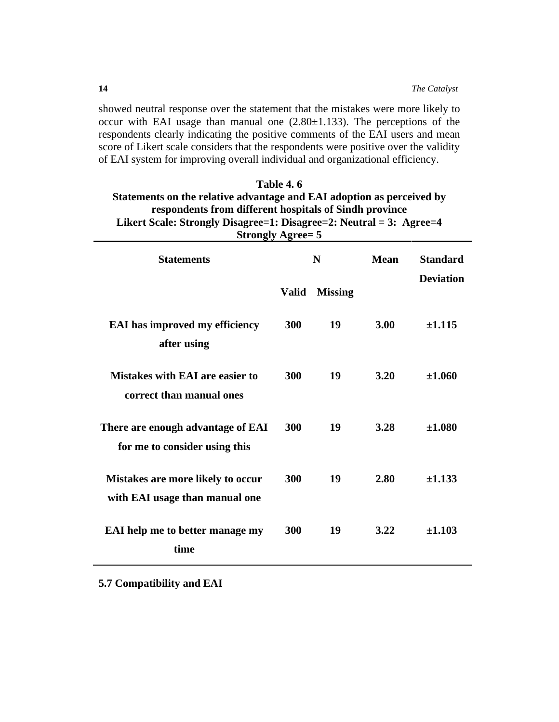showed neutral response over the statement that the mistakes were more likely to occur with EAI usage than manual one  $(2.80 \pm 1.133)$ . The perceptions of the respondents clearly indicating the positive comments of the EAI users and mean score of Likert scale considers that the respondents were positive over the validity of EAI system for improving overall individual and organizational efficiency.

| Table 4.6                                                             |                  |                |      |                  |  |
|-----------------------------------------------------------------------|------------------|----------------|------|------------------|--|
| Statements on the relative advantage and EAI adoption as perceived by |                  |                |      |                  |  |
| respondents from different hospitals of Sindh province                |                  |                |      |                  |  |
| Likert Scale: Strongly Disagree=1: Disagree=2: Neutral = 3: Agree=4   |                  |                |      |                  |  |
| <b>Strongly Agree= 5</b>                                              |                  |                |      |                  |  |
| <b>Statements</b>                                                     | <b>Mean</b><br>N |                |      |                  |  |
|                                                                       |                  |                |      | <b>Deviation</b> |  |
|                                                                       | <b>Valid</b>     | <b>Missing</b> |      |                  |  |
| <b>EAI</b> has improved my efficiency                                 | 300              | 19             | 3.00 | ±1.115           |  |
| after using                                                           |                  |                |      |                  |  |
|                                                                       |                  |                |      |                  |  |
| <b>Mistakes with EAI are easier to</b>                                | 300              | 19             | 3.20 | ±1.060           |  |
| correct than manual ones                                              |                  |                |      |                  |  |
|                                                                       |                  |                |      |                  |  |
| There are enough advantage of EAI                                     | 300              | 19             | 3.28 | ±1.080           |  |
| for me to consider using this                                         |                  |                |      |                  |  |
|                                                                       |                  |                |      |                  |  |
| <b>Mistakes are more likely to occur</b>                              | 300              | 19             | 2.80 | ±1.133           |  |
| with EAI usage than manual one                                        |                  |                |      |                  |  |
|                                                                       |                  |                |      |                  |  |
| EAI help me to better manage my                                       | 300              | 19             | 3.22 | ±1.103           |  |
| time                                                                  |                  |                |      |                  |  |
|                                                                       |                  |                |      |                  |  |

**5.7 Compatibility and EAI**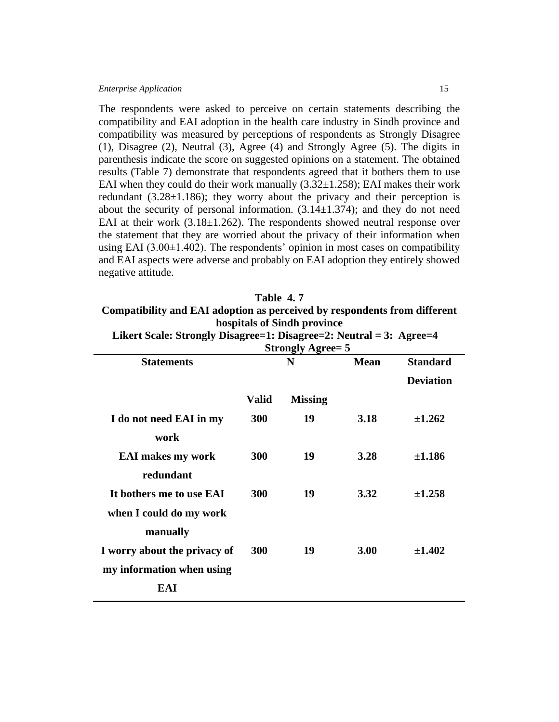The respondents were asked to perceive on certain statements describing the compatibility and EAI adoption in the health care industry in Sindh province and compatibility was measured by perceptions of respondents as Strongly Disagree (1), Disagree (2), Neutral (3), Agree (4) and Strongly Agree (5). The digits in parenthesis indicate the score on suggested opinions on a statement. The obtained results (Table 7) demonstrate that respondents agreed that it bothers them to use EAI when they could do their work manually  $(3.32\pm1.258)$ ; EAI makes their work redundant  $(3.28 \pm 1.186)$ ; they worry about the privacy and their perception is about the security of personal information.  $(3.14 \pm 1.374)$ ; and they do not need EAI at their work  $(3.18\pm1.262)$ . The respondents showed neutral response over the statement that they are worried about the privacy of their information when using EAI  $(3.00\pm1.402)$ . The respondents' opinion in most cases on compatibility and EAI aspects were adverse and probably on EAI adoption they entirely showed negative attitude.

| Table 4.7                                                                 |
|---------------------------------------------------------------------------|
| Compatibility and EAI adoption as perceived by respondents from different |
| hospitals of Sindh province                                               |

|                                                                     | hospitals of Sindh province |             |                 |  |
|---------------------------------------------------------------------|-----------------------------|-------------|-----------------|--|
| Likert Scale: Strongly Disagree=1: Disagree=2: Neutral = 3: Agree=4 |                             |             |                 |  |
| <b>Strongly Agree= 5</b>                                            |                             |             |                 |  |
| <b>Statements</b>                                                   | N                           | <b>Mean</b> | <b>Standard</b> |  |

|                              |              |                |             | <b>Deviation</b> |
|------------------------------|--------------|----------------|-------------|------------------|
|                              | <b>Valid</b> | <b>Missing</b> |             |                  |
| I do not need EAI in my      | 300          | 19             | 3.18        | $+1.262$         |
| work                         |              |                |             |                  |
| <b>EAI</b> makes my work     | 300          | 19             | 3.28        | ±1.186           |
| redundant                    |              |                |             |                  |
| It bothers me to use EAI     | <b>300</b>   | 19             | 3.32        | $+1.258$         |
| when I could do my work      |              |                |             |                  |
| manually                     |              |                |             |                  |
| I worry about the privacy of | <b>300</b>   | 19             | <b>3.00</b> | $+1.402$         |
| my information when using    |              |                |             |                  |
| EAI                          |              |                |             |                  |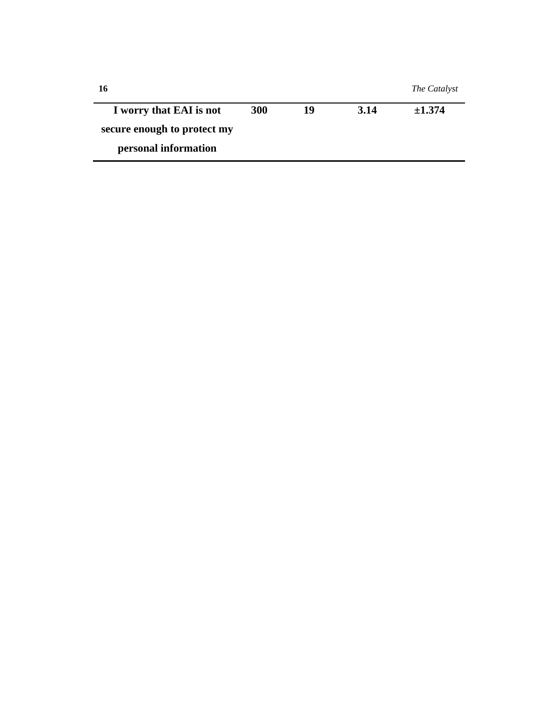| 16                          |     |    |      | The Catalyst |
|-----------------------------|-----|----|------|--------------|
| I worry that EAI is not     | 300 | 19 | 3.14 | $\pm 1.374$  |
| secure enough to protect my |     |    |      |              |
| personal information        |     |    |      |              |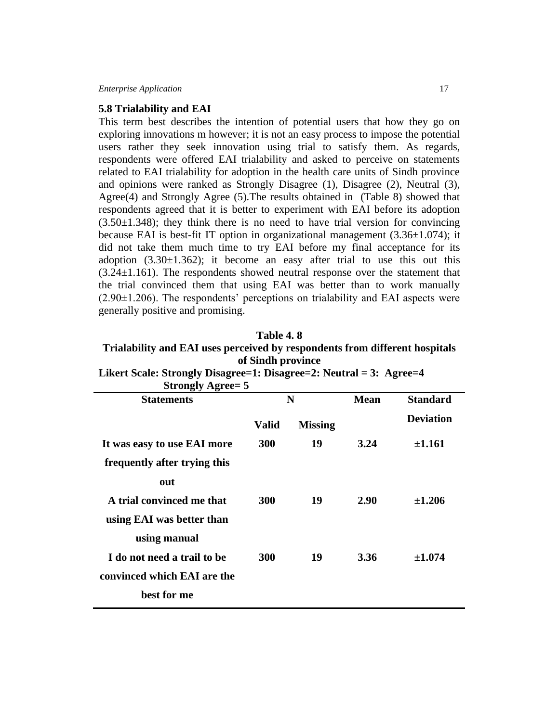#### **5.8 Trialability and EAI**

This term best describes the intention of potential users that how they go on exploring innovations m however; it is not an easy process to impose the potential users rather they seek innovation using trial to satisfy them. As regards, respondents were offered EAI trialability and asked to perceive on statements related to EAI trialability for adoption in the health care units of Sindh province and opinions were ranked as Strongly Disagree (1), Disagree (2), Neutral (3), Agree(4) and Strongly Agree (5).The results obtained in (Table 8) showed that respondents agreed that it is better to experiment with EAI before its adoption  $(3.50\pm1.348)$ ; they think there is no need to have trial version for convincing because EAI is best-fit IT option in organizational management  $(3.36\pm1.074)$ ; it did not take them much time to try EAI before my final acceptance for its adoption  $(3.30\pm1.362)$ ; it become an easy after trial to use this out this  $(3.24\pm1.161)$ . The respondents showed neutral response over the statement that the trial convinced them that using EAI was better than to work manually  $(2.90\pm1.206)$ . The respondents' perceptions on trialability and EAI aspects were generally positive and promising.

## **Table 4. 8 Trialability and EAI uses perceived by respondents from different hospitals of Sindh province**

| <b>Strongly Agree= 5</b>     |            |                |             |                  |
|------------------------------|------------|----------------|-------------|------------------|
| <b>Statements</b>            |            | N              | <b>Mean</b> | <b>Standard</b>  |
|                              | Valid      | <b>Missing</b> |             | <b>Deviation</b> |
| It was easy to use EAI more  | <b>300</b> | 19             | 3.24        | ±1.161           |
| frequently after trying this |            |                |             |                  |
| out                          |            |                |             |                  |
| A trial convinced me that    | 300        | 19             | <b>2.90</b> | $\pm 1.206$      |
| using EAI was better than    |            |                |             |                  |
| using manual                 |            |                |             |                  |
| I do not need a trail to be  | 300        | 19             | 3.36        | ±1.074           |
| convinced which EAI are the  |            |                |             |                  |
| best for me                  |            |                |             |                  |

**Likert Scale: Strongly Disagree=1: Disagree=2: Neutral = 3: Agree=4**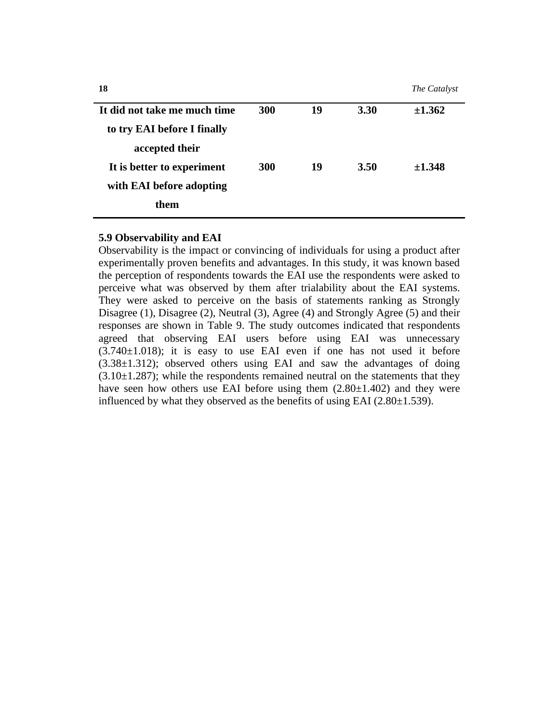**18** *The Catalyst*

| It did not take me much time | 300        | 19 | 3.30 | ±1.362   |
|------------------------------|------------|----|------|----------|
| to try EAI before I finally  |            |    |      |          |
| accepted their               |            |    |      |          |
| It is better to experiment   | <b>300</b> | 19 | 3.50 | $+1.348$ |
| with EAI before adopting     |            |    |      |          |
| them                         |            |    |      |          |

#### **5.9 Observability and EAI**

Observability is the impact or convincing of individuals for using a product after experimentally proven benefits and advantages. In this study, it was known based the perception of respondents towards the EAI use the respondents were asked to perceive what was observed by them after trialability about the EAI systems. They were asked to perceive on the basis of statements ranking as Strongly Disagree (1), Disagree (2), Neutral (3), Agree (4) and Strongly Agree (5) and their responses are shown in Table 9. The study outcomes indicated that respondents agreed that observing EAI users before using EAI was unnecessary  $(3.740\pm1.018)$ ; it is easy to use EAI even if one has not used it before (3.38±1.312); observed others using EAI and saw the advantages of doing  $(3.10\pm1.287)$ ; while the respondents remained neutral on the statements that they have seen how others use EAI before using them  $(2.80\pm1.402)$  and they were influenced by what they observed as the benefits of using EAI  $(2.80\pm1.539)$ .

Ē,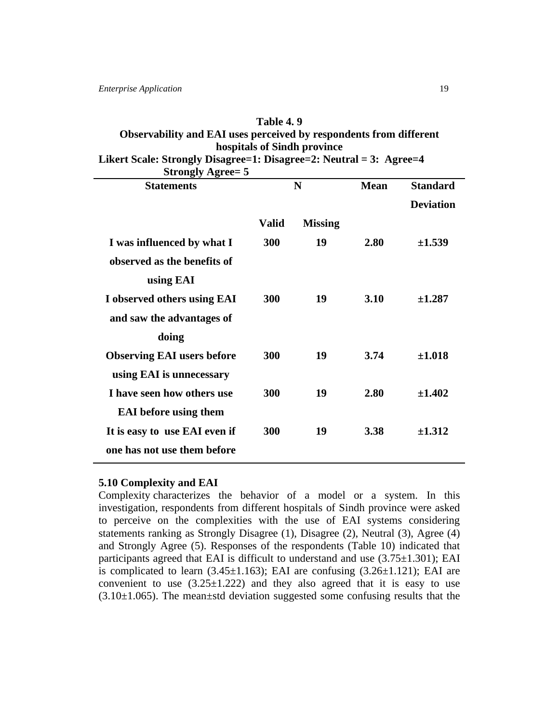# **Table 4. 9 Observability and EAI uses perceived by respondents from different hospitals of Sindh province Likert Scale: Strongly Disagree=1: Disagree=2: Neutral = 3: Agree=4**

**Strongly Agree= 5 Statements N Mean Standard Deviation Valid Missing I was influenced by what I observed as the benefits of using EAI 300 19 2.80 ±1.539 I observed others using EAI and saw the advantages of doing 300 19 3.10 ±1.287 Observing EAI users before using EAI is unnecessary 300 19 3.74 ±1.018 I have seen how others use EAI before using them 300 19 2.80 ±1.402 It is easy to use EAI even if one has not use them before 300 19 3.38 ±1.312**

#### **5.10 Complexity and EAI**

Complexity characterizes the behavior of a model or a system. In this investigation, respondents from different hospitals of Sindh province were asked to perceive on the complexities with the use of EAI systems considering statements ranking as Strongly Disagree (1), Disagree (2), Neutral (3), Agree (4) and Strongly Agree (5). Responses of the respondents (Table 10) indicated that participants agreed that EAI is difficult to understand and use (3.75±1.301); EAI is complicated to learn  $(3.45\pm1.163)$ ; EAI are confusing  $(3.26\pm1.121)$ ; EAI are convenient to use  $(3.25 \pm 1.222)$  and they also agreed that it is easy to use  $(3.10\pm1.065)$ . The mean $\pm$ std deviation suggested some confusing results that the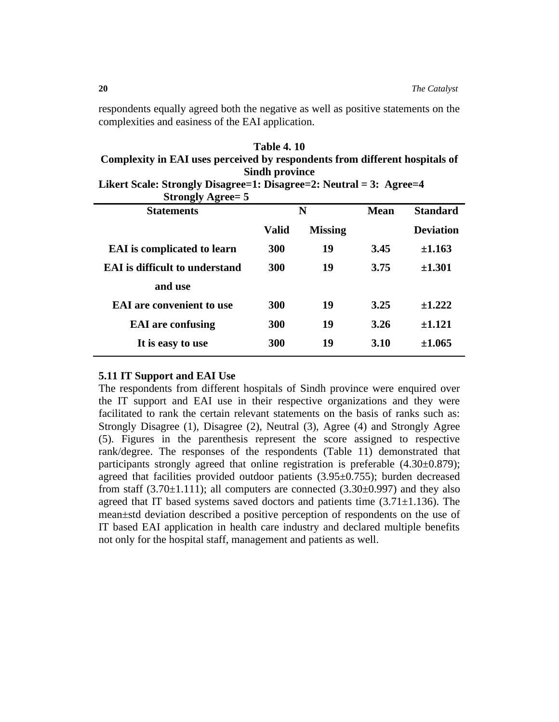respondents equally agreed both the negative as well as positive statements on the complexities and easiness of the EAI application.

| <b>Table 4.10</b>                                                           |
|-----------------------------------------------------------------------------|
| Complexity in EAI uses perceived by respondents from different hospitals of |
| <b>Sindh province</b>                                                       |

| Likert Scale: Strongly Disagree=1: Disagree=2: Neutral = 3: Agree=4 |  |
|---------------------------------------------------------------------|--|
| <b>Strongly Agree= 5</b>                                            |  |

| $\sim$ $\sim$ $\sim$ $\sim$ $\sim$ $\sim$ $\sim$ |              |                |      |                  |
|--------------------------------------------------|--------------|----------------|------|------------------|
| <b>Statements</b>                                | N            |                | Mean | <b>Standard</b>  |
|                                                  | <b>Valid</b> | <b>Missing</b> |      | <b>Deviation</b> |
| <b>EAI</b> is complicated to learn               | <b>300</b>   | 19             | 3.45 | ±1.163           |
| <b>EAI</b> is difficult to understand            | 300          | 19             | 3.75 | $\pm 1.301$      |
| and use                                          |              |                |      |                  |
| <b>EAI</b> are convenient to use                 | 300          | 19             | 3.25 | $+1.222$         |
| <b>EAI</b> are confusing                         | 300          | 19             | 3.26 | $+1.121$         |
| It is easy to use                                | <b>300</b>   | 19             | 3.10 | $+1.065$         |
|                                                  |              |                |      |                  |

#### **5.11 IT Support and EAI Use**

The respondents from different hospitals of Sindh province were enquired over the IT support and EAI use in their respective organizations and they were facilitated to rank the certain relevant statements on the basis of ranks such as: Strongly Disagree (1), Disagree (2), Neutral (3), Agree (4) and Strongly Agree (5). Figures in the parenthesis represent the score assigned to respective rank/degree. The responses of the respondents (Table 11) demonstrated that participants strongly agreed that online registration is preferable (4.30±0.879); agreed that facilities provided outdoor patients (3.95±0.755); burden decreased from staff  $(3.70\pm1.111)$ ; all computers are connected  $(3.30\pm0.997)$  and they also agreed that IT based systems saved doctors and patients time  $(3.71 \pm 1.136)$ . The mean±std deviation described a positive perception of respondents on the use of IT based EAI application in health care industry and declared multiple benefits not only for the hospital staff, management and patients as well.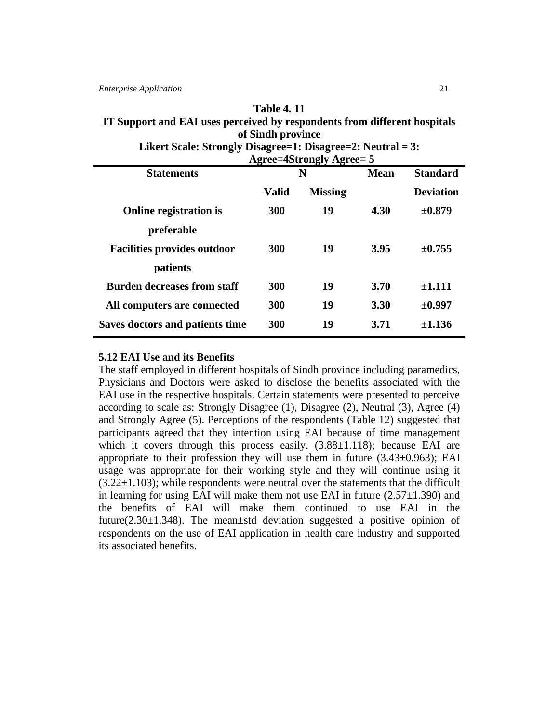#### **Table 4. 11**

## **IT Support and EAI uses perceived by respondents from different hospitals of Sindh province**

| Likert Scale: Strongly Disagree=1: Disagree=2: Neutral = 3: |
|-------------------------------------------------------------|
| $A$ anon-18tronaly $A$ anon- $\bar{z}$                      |

|                                    | $\Delta$ gree $-$ 40 $\mu$ ungiy $\Delta$ gree $-$ 3 |                |             |                  |  |  |  |
|------------------------------------|------------------------------------------------------|----------------|-------------|------------------|--|--|--|
| <b>Statements</b>                  | N                                                    |                | <b>Mean</b> | <b>Standard</b>  |  |  |  |
|                                    | Valid                                                | <b>Missing</b> |             | <b>Deviation</b> |  |  |  |
| <b>Online registration is</b>      | 300                                                  | 19             | 4.30        | $\pm 0.879$      |  |  |  |
| preferable                         |                                                      |                |             |                  |  |  |  |
| <b>Facilities provides outdoor</b> | 300                                                  | 19             | 3.95        | $\pm 0.755$      |  |  |  |
| patients                           |                                                      |                |             |                  |  |  |  |
| <b>Burden decreases from staff</b> | 300                                                  | 19             | 3.70        | ±1.111           |  |  |  |
| All computers are connected        | 300                                                  | 19             | <b>3.30</b> | ±0.997           |  |  |  |
| Saves doctors and patients time    | 300                                                  | 19             | 3.71        | ±1.136           |  |  |  |
|                                    |                                                      |                |             |                  |  |  |  |

#### **5.12 EAI Use and its Benefits**

The staff employed in different hospitals of Sindh province including paramedics, Physicians and Doctors were asked to disclose the benefits associated with the EAI use in the respective hospitals. Certain statements were presented to perceive according to scale as: Strongly Disagree (1), Disagree (2), Neutral (3), Agree (4) and Strongly Agree (5). Perceptions of the respondents (Table 12) suggested that participants agreed that they intention using EAI because of time management which it covers through this process easily.  $(3.88\pm1.118)$ ; because EAI are appropriate to their profession they will use them in future  $(3.43\pm0.963)$ ; EAI usage was appropriate for their working style and they will continue using it  $(3.22\pm1.103)$ ; while respondents were neutral over the statements that the difficult in learning for using EAI will make them not use EAI in future  $(2.57\pm1.390)$  and the benefits of EAI will make them continued to use EAI in the future( $2.30\pm1.348$ ). The mean $\pm$ std deviation suggested a positive opinion of respondents on the use of EAI application in health care industry and supported its associated benefits.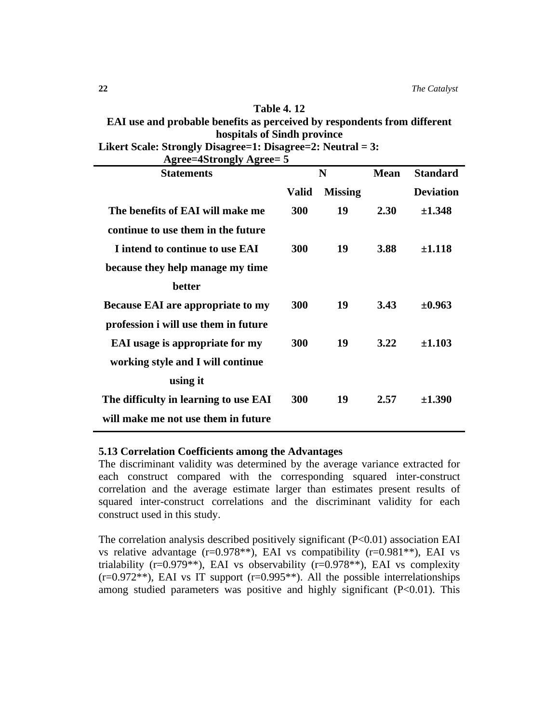## **Table 4. 12**

# **EAI use and probable benefits as perceived by respondents from different hospitals of Sindh province**

| Likert Scale: Strongly Disagree=1: Disagree=2: Neutral = 3: |
|-------------------------------------------------------------|
| Agree-Astropoly Agree-5                                     |

| <b>Statements</b>                        | N     |                | <b>Mean</b> | <b>Standard</b>  |
|------------------------------------------|-------|----------------|-------------|------------------|
|                                          | Valid | <b>Missing</b> |             | <b>Deviation</b> |
| The benefits of EAI will make me         | 300   | 19             | 2.30        | ±1.348           |
| continue to use them in the future       |       |                |             |                  |
| I intend to continue to use EAI          | 300   | 19             | 3.88        | $\pm 1.118$      |
| because they help manage my time         |       |                |             |                  |
| <b>better</b>                            |       |                |             |                  |
| <b>Because EAI are appropriate to my</b> | 300   | 19             | 3.43        | $\pm 0.963$      |
| profession i will use them in future     |       |                |             |                  |
| <b>EAI</b> usage is appropriate for my   | 300   | 19             | 3.22        | ±1.103           |
| working style and I will continue        |       |                |             |                  |
| using it                                 |       |                |             |                  |
| The difficulty in learning to use EAI    | 300   | 19             | 2.57        | ±1.390           |
| will make me not use them in future      |       |                |             |                  |

## **5.13 Correlation Coefficients among the Advantages**

The discriminant validity was determined by the average variance extracted for each construct compared with the corresponding squared inter-construct correlation and the average estimate larger than estimates present results of squared inter-construct correlations and the discriminant validity for each construct used in this study.

The correlation analysis described positively significant  $(P<0.01)$  association EAI vs relative advantage  $(r=0.978**)$ , EAI vs compatibility  $(r=0.981**)$ , EAI vs trialability (r=0.979\*\*), EAI vs observability (r=0.978\*\*), EAI vs complexity  $(r=0.972**)$ , EAI vs IT support  $(r=0.995**)$ . All the possible interrelationships among studied parameters was positive and highly significant  $(P<0.01)$ . This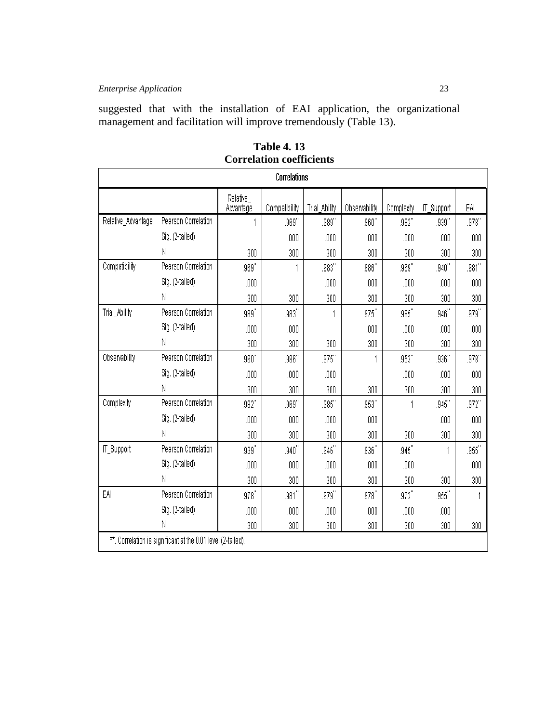suggested that with the installation of EAI application, the organizational management and facilitation will improve tremendously (Table 13).

| Correlations       |                                                              |                        |               |                       |               |            |            |                       |
|--------------------|--------------------------------------------------------------|------------------------|---------------|-----------------------|---------------|------------|------------|-----------------------|
|                    |                                                              | Relative_<br>Advantage | Compatibility | Trial Ability         | Observability | Complexity | IT_Support | EAI                   |
| Relative_Advantage | Pearson Correlation                                          |                        | .969"         | $.989^{\prime\prime}$ | .960''        | .982"      | .939"      | .978''                |
|                    | Sig. (2-tailed)                                              |                        | .000          | .000                  | .000          | .000       | .000       | .000                  |
|                    | Ν                                                            | 300                    | 300           | 300                   | 300           | 300        | 300        | 300                   |
| Compatibility      | Pearson Correlation                                          | .969"                  | 1             | .983"                 | .986"         | .969"      | .940''     | .981"                 |
|                    | Sig. (2-tailed)                                              | .000                   |               | .000                  | .000          | .000       | .000       | .000                  |
|                    | Ν                                                            | 300                    | 300           | 300                   | 300           | 300        | 300        | 300                   |
| Trial_Ability      | Pearson Correlation                                          | .989"                  | .983"         |                       | .975          | .985       | .946''     | $.979^{\prime\prime}$ |
|                    | Sig. (2-tailed)                                              | .000                   | .000          |                       | .000          | .000       | .000       | .000                  |
|                    | Ν                                                            | 300                    | 300           | 300                   | 300           | 300        | 300        | 300                   |
| Observability      | Pearson Correlation                                          | .960''                 | .986"         | .975"                 |               | .953"      | .936"      | $.978^{\circ\circ}$   |
|                    | Sig. (2-tailed)                                              | .000                   | .000          | .000                  |               | .000       | .000       | .000                  |
|                    | Ν                                                            | 300                    | 300           | 300                   | 300           | 300        | 300        | 300                   |
| Complexity         | Pearson Correlation                                          | .982"                  | .969"         | .985"                 | .953"         |            | .945"      | .972''                |
|                    | Sig. (2-tailed)                                              | .000                   | .000          | .000                  | .000          |            | .000       | .000                  |
|                    | Ν                                                            | 300                    | 300           | 300                   | 300           | 300        | 300        | 300                   |
| IT_Support         | Pearson Correlation                                          | $.939^{\prime\prime}$  | .940          | .946                  | .936''        | .945''     |            | .955''                |
|                    | Sig. (2-tailed)                                              | .000                   | .000          | .000                  | .000          | .000       |            | .000                  |
|                    | Ν                                                            | 300                    | 300           | 300                   | 300           | 300        | 300        | 300                   |
| EAI                | Pearson Correlation                                          | $.978^{\circ}$         | $.981$ "      | .979"                 | .978''        | .972''     | .955''     |                       |
|                    | Sig. (2-tailed)                                              | .000                   | .000          | .000                  | .000          | .000       | .000       |                       |
|                    | Ν                                                            | 300                    | 300           | 300                   | 300           | 300        | 300        | 300                   |
|                    | **. Correlation is significant at the 0.01 level (2-tailed). |                        |               |                       |               |            |            |                       |

**Table 4. 13 Correlation coefficients**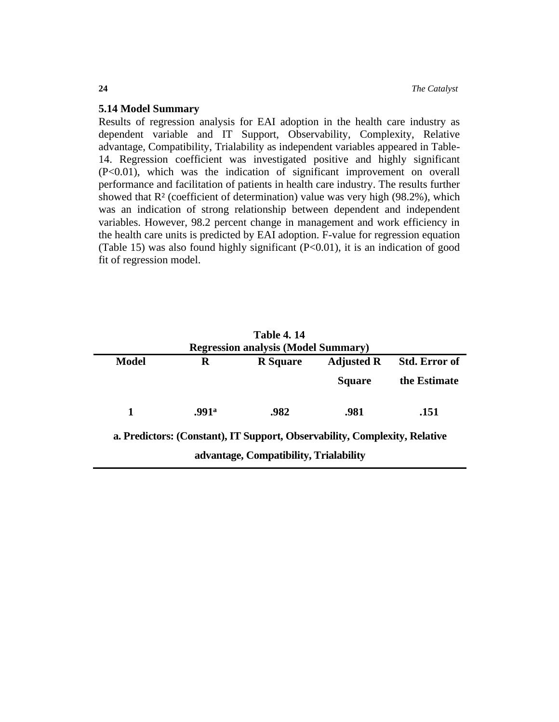#### **5.14 Model Summary**

Results of regression analysis for EAI adoption in the health care industry as dependent variable and IT Support, Observability, Complexity, Relative advantage, Compatibility, Trialability as independent variables appeared in Table-14. Regression coefficient was investigated positive and highly significant (P<0.01), which was the indication of significant improvement on overall performance and facilitation of patients in health care industry. The results further showed that  $R<sup>2</sup>$  (coefficient of determination) value was very high (98.2%), which was an indication of strong relationship between dependent and independent variables. However, 98.2 percent change in management and work efficiency in the health care units is predicted by EAI adoption. F-value for regression equation (Table 15) was also found highly significant  $(P<0.01)$ , it is an indication of good fit of regression model.

|                                            |       | <b>Table 4.14</b>                                                          |                   |                      |  |  |  |
|--------------------------------------------|-------|----------------------------------------------------------------------------|-------------------|----------------------|--|--|--|
| <b>Regression analysis (Model Summary)</b> |       |                                                                            |                   |                      |  |  |  |
| <b>Model</b>                               | R     | <b>R</b> Square                                                            | <b>Adjusted R</b> | <b>Std. Error of</b> |  |  |  |
|                                            |       |                                                                            | <b>Square</b>     | the Estimate         |  |  |  |
| 1                                          | .991ª | .982                                                                       | .981              | .151                 |  |  |  |
|                                            |       | a. Predictors: (Constant), IT Support, Observability, Complexity, Relative |                   |                      |  |  |  |
|                                            |       | advantage, Compatibility, Trialability                                     |                   |                      |  |  |  |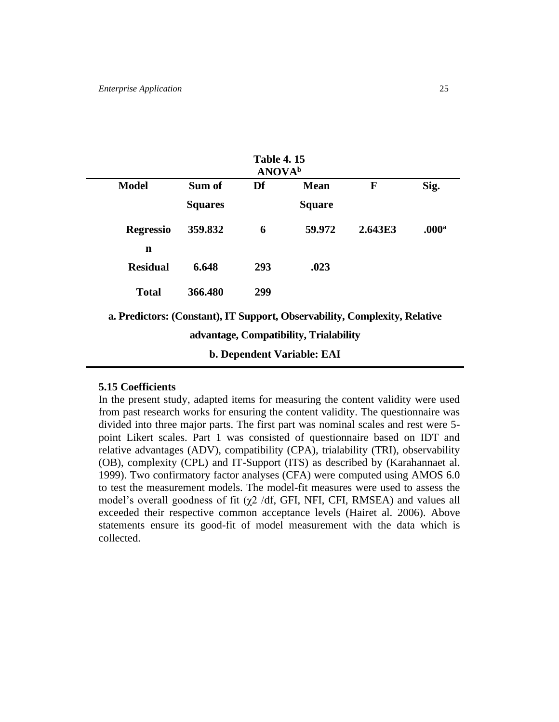|                                                                            |                | <b>Table 4.15</b><br><b>ANOVA</b> <sup>b</sup> |                                        |              |                   |
|----------------------------------------------------------------------------|----------------|------------------------------------------------|----------------------------------------|--------------|-------------------|
| <b>Model</b>                                                               | Sum of         | Df                                             | <b>Mean</b>                            | $\mathbf{F}$ | Sig.              |
|                                                                            | <b>Squares</b> |                                                | <b>Square</b>                          |              |                   |
| <b>Regressio</b>                                                           | 359.832        | 6                                              | 59.972                                 | 2.643E3      | .000 <sup>a</sup> |
| n                                                                          |                |                                                |                                        |              |                   |
| <b>Residual</b>                                                            | 6.648          | 293                                            | .023                                   |              |                   |
| <b>Total</b>                                                               | 366.480        | 299                                            |                                        |              |                   |
| a. Predictors: (Constant), IT Support, Observability, Complexity, Relative |                |                                                |                                        |              |                   |
|                                                                            |                |                                                | advantage, Compatibility, Trialability |              |                   |
|                                                                            |                |                                                | <b>b. Dependent Variable: EAI</b>      |              |                   |

## **5.15 Coefficients**

In the present study, adapted items for measuring the content validity were used from past research works for ensuring the content validity. The questionnaire was divided into three major parts. The first part was nominal scales and rest were 5 point Likert scales. Part 1 was consisted of questionnaire based on IDT and relative advantages (ADV), compatibility (CPA), trialability (TRI), observability (OB), complexity (CPL) and IT-Support (ITS) as described by (Karahannaet al. 1999). Two confirmatory factor analyses (CFA) were computed using AMOS 6.0 to test the measurement models. The model-fit measures were used to assess the model's overall goodness of fit (χ2 /df, GFI, NFI, CFI, RMSEA) and values all exceeded their respective common acceptance levels (Hairet al. 2006). Above statements ensure its good-fit of model measurement with the data which is collected.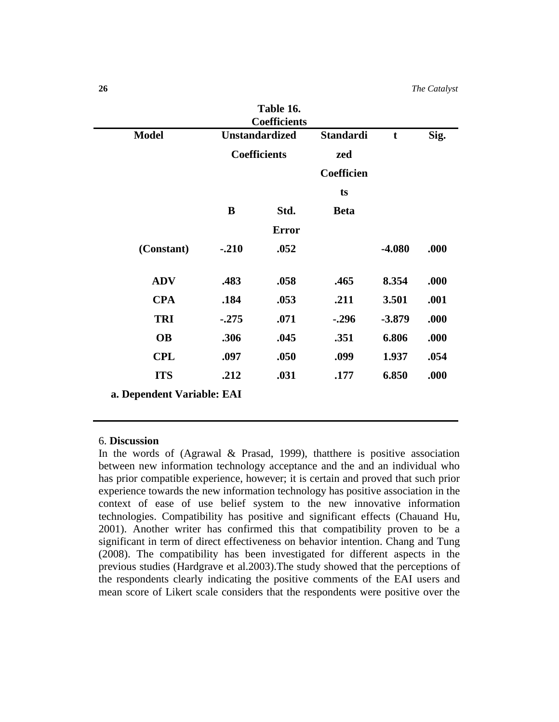| Table 16.<br><b>Coefficients</b> |                       |              |                  |             |      |
|----------------------------------|-----------------------|--------------|------------------|-------------|------|
| <b>Model</b>                     | <b>Unstandardized</b> |              | <b>Standardi</b> | $\mathbf t$ | Sig. |
|                                  | <b>Coefficients</b>   |              | zed              |             |      |
|                                  |                       |              | Coefficien       |             |      |
|                                  |                       |              | ts               |             |      |
|                                  | B                     | Std.         | <b>Beta</b>      |             |      |
|                                  |                       | <b>Error</b> |                  |             |      |
| (Constant)                       | $-.210$               | .052         |                  | $-4.080$    | .000 |
| <b>ADV</b>                       | .483                  | .058         | .465             | 8.354       | .000 |
| <b>CPA</b>                       | .184                  | .053         | .211             | 3.501       | .001 |
| <b>TRI</b>                       | $-.275$               | .071         | $-.296$          | $-3.879$    | .000 |
| <b>OB</b>                        | .306                  | .045         | .351             | 6.806       | .000 |
| <b>CPL</b>                       | .097                  | .050         | .099             | 1.937       | .054 |
| <b>ITS</b>                       | .212                  | .031         | .177             | 6.850       | .000 |
| a. Dependent Variable: EAI       |                       |              |                  |             |      |

#### 6. **Discussion**

In the words of (Agrawal & Prasad, 1999), thatthere is positive association between new information technology acceptance and the and an individual who has prior compatible experience, however; it is certain and proved that such prior experience towards the new information technology has positive association in the context of ease of use belief system to the new innovative information technologies. Compatibility has positive and significant effects (Chauand Hu, 2001). Another writer has confirmed this that compatibility proven to be a significant in term of direct effectiveness on behavior intention. Chang and Tung (2008). The compatibility has been investigated for different aspects in the previous studies (Hardgrave et al.2003).The study showed that the perceptions of the respondents clearly indicating the positive comments of the EAI users and mean score of Likert scale considers that the respondents were positive over the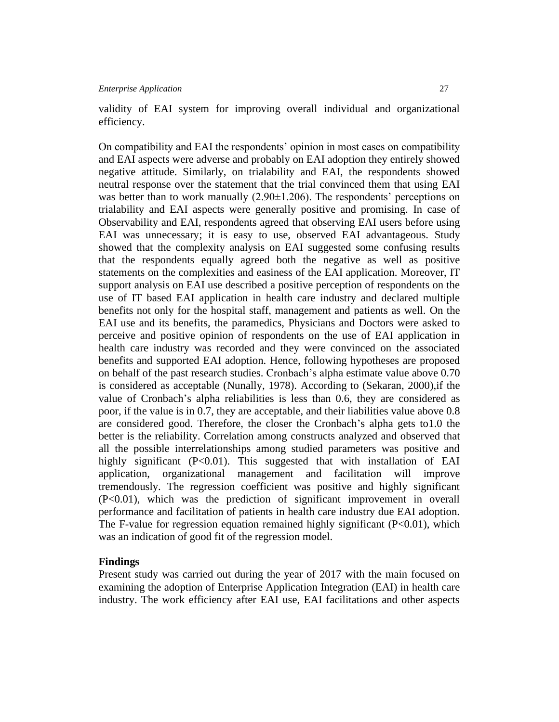validity of EAI system for improving overall individual and organizational efficiency.

On compatibility and EAI the respondents' opinion in most cases on compatibility and EAI aspects were adverse and probably on EAI adoption they entirely showed negative attitude. Similarly, on trialability and EAI, the respondents showed neutral response over the statement that the trial convinced them that using EAI was better than to work manually  $(2.90\pm1.206)$ . The respondents' perceptions on trialability and EAI aspects were generally positive and promising. In case of Observability and EAI, respondents agreed that observing EAI users before using EAI was unnecessary; it is easy to use, observed EAI advantageous. Study showed that the complexity analysis on EAI suggested some confusing results that the respondents equally agreed both the negative as well as positive statements on the complexities and easiness of the EAI application. Moreover, IT support analysis on EAI use described a positive perception of respondents on the use of IT based EAI application in health care industry and declared multiple benefits not only for the hospital staff, management and patients as well. On the EAI use and its benefits, the paramedics, Physicians and Doctors were asked to perceive and positive opinion of respondents on the use of EAI application in health care industry was recorded and they were convinced on the associated benefits and supported EAI adoption. Hence, following hypotheses are proposed on behalf of the past research studies. Cronbach's alpha estimate value above 0.70 is considered as acceptable (Nunally, 1978). According to (Sekaran, 2000),if the value of Cronbach's alpha reliabilities is less than 0.6, they are considered as poor, if the value is in 0.7, they are acceptable, and their liabilities value above 0.8 are considered good. Therefore, the closer the Cronbach's alpha gets to1.0 the better is the reliability. Correlation among constructs analyzed and observed that all the possible interrelationships among studied parameters was positive and highly significant (P<0.01). This suggested that with installation of EAI application, organizational management and facilitation will improve tremendously. The regression coefficient was positive and highly significant (P<0.01), which was the prediction of significant improvement in overall performance and facilitation of patients in health care industry due EAI adoption. The F-value for regression equation remained highly significant  $(P<0.01)$ , which was an indication of good fit of the regression model.

#### **Findings**

Present study was carried out during the year of 2017 with the main focused on examining the adoption of Enterprise Application Integration (EAI) in health care industry. The work efficiency after EAI use, EAI facilitations and other aspects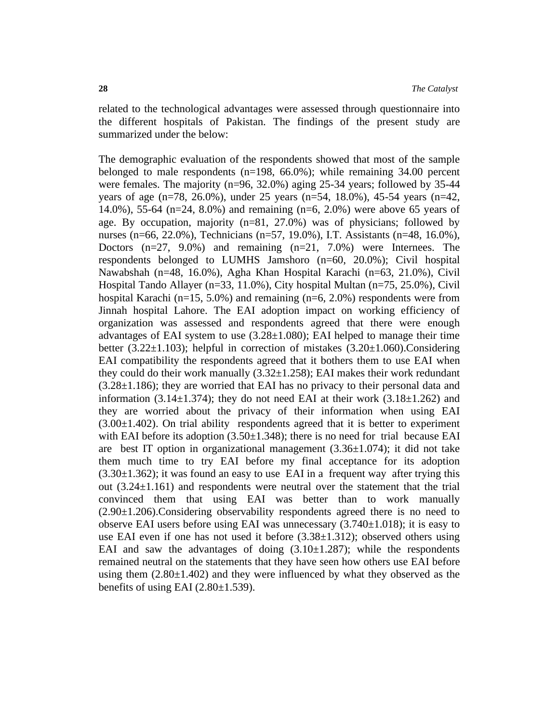related to the technological advantages were assessed through questionnaire into the different hospitals of Pakistan. The findings of the present study are summarized under the below:

The demographic evaluation of the respondents showed that most of the sample belonged to male respondents (n=198, 66.0%); while remaining 34.00 percent were females. The majority (n=96, 32.0%) aging 25-34 years; followed by 35-44 years of age (n=78, 26.0%), under 25 years (n=54, 18.0%), 45-54 years (n=42, 14.0%), 55-64 (n=24, 8.0%) and remaining (n=6, 2.0%) were above 65 years of age. By occupation, majority (n=81, 27.0%) was of physicians; followed by nurses (n=66, 22.0%), Technicians (n=57, 19.0%), I.T. Assistants (n=48, 16.0%), Doctors  $(n=27, 9.0\%)$  and remaining  $(n=21, 7.0\%)$  were Internees. The respondents belonged to LUMHS Jamshoro (n=60, 20.0%); Civil hospital Nawabshah (n=48, 16.0%), Agha Khan Hospital Karachi (n=63, 21.0%), Civil Hospital Tando Allayer (n=33, 11.0%), City hospital Multan (n=75, 25.0%), Civil hospital Karachi ( $n=15, 5.0\%$ ) and remaining ( $n=6, 2.0\%$ ) respondents were from Jinnah hospital Lahore. The EAI adoption impact on working efficiency of organization was assessed and respondents agreed that there were enough advantages of EAI system to use  $(3.28 \pm 1.080)$ ; EAI helped to manage their time better  $(3.22\pm1.103)$ ; helpful in correction of mistakes  $(3.20\pm1.060)$ . Considering EAI compatibility the respondents agreed that it bothers them to use EAI when they could do their work manually  $(3.32\pm1.258)$ ; EAI makes their work redundant  $(3.28\pm1.186)$ ; they are worried that EAI has no privacy to their personal data and information  $(3.14\pm 1.374)$ ; they do not need EAI at their work  $(3.18\pm 1.262)$  and they are worried about the privacy of their information when using EAI  $(3.00\pm1.402)$ . On trial ability respondents agreed that it is better to experiment with EAI before its adoption  $(3.50\pm1.348)$ ; there is no need for trial because EAI are best IT option in organizational management  $(3.36\pm1.074)$ ; it did not take them much time to try EAI before my final acceptance for its adoption  $(3.30\pm1.362)$ ; it was found an easy to use EAI in a frequent way after trying this out (3.24±1.161) and respondents were neutral over the statement that the trial convinced them that using EAI was better than to work manually  $(2.90\pm1.206)$ . Considering observability respondents agreed there is no need to observe EAI users before using EAI was unnecessary  $(3.740 \pm 1.018)$ ; it is easy to use EAI even if one has not used it before  $(3.38\pm1.312)$ ; observed others using EAI and saw the advantages of doing  $(3.10 \pm 1.287)$ ; while the respondents remained neutral on the statements that they have seen how others use EAI before using them  $(2.80\pm1.402)$  and they were influenced by what they observed as the benefits of using EAI  $(2.80\pm1.539)$ .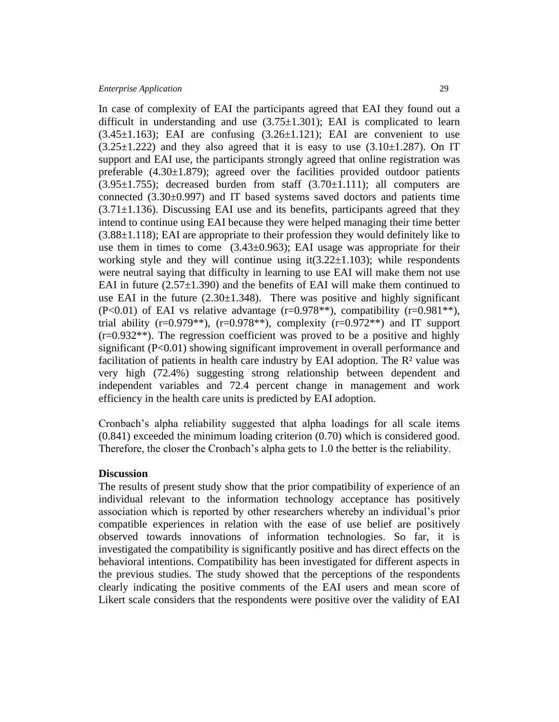In case of complexity of EAI the participants agreed that EAI they found out a difficult in understanding and use  $(3.75\pm1.301)$ ; EAI is complicated to learn  $(3.45\pm1.163)$ ; EAI are confusing  $(3.26\pm1.121)$ ; EAI are convenient to use  $(3.25\pm1.222)$  and they also agreed that it is easy to use  $(3.10\pm1.287)$ . On IT support and EAI use, the participants strongly agreed that online registration was preferable  $(4.30\pm1.879)$ ; agreed over the facilities provided outdoor patients  $(3.95\pm1.755)$ ; decreased burden from staff  $(3.70\pm1.111)$ ; all computers are connected (3.30±0.997) and IT based systems saved doctors and patients time  $(3.71\pm1.136)$ . Discussing EAI use and its benefits, participants agreed that they intend to continue using EAI because they were helped managing their time better  $(3.88\pm1.118)$ ; EAI are appropriate to their profession they would definitely like to use them in times to come  $(3.43\pm0.963)$ ; EAI usage was appropriate for their working style and they will continue using  $\text{it}(3.22 \pm 1.103)$ ; while respondents were neutral saying that difficulty in learning to use EAI will make them not use EAI in future  $(2.57\pm1.390)$  and the benefits of EAI will make them continued to use EAI in the future  $(2.30\pm1.348)$ . There was positive and highly significant  $(P<0.01)$  of EAI vs relative advantage  $(r=0.978**)$ , compatibility  $(r=0.981**)$ , trial ability (r=0.979\*\*), (r=0.978\*\*), complexity (r=0.972\*\*) and IT support  $(r=0.932**)$ . The regression coefficient was proved to be a positive and highly significant (P<0.01) showing significant improvement in overall performance and facilitation of patients in health care industry by EAI adoption. The  $\mathbb{R}^2$  value was very high (72.4%) suggesting strong relationship between dependent and independent variables and 72.4 percent change in management and work efficiency in the health care units is predicted by EAI adoption.

Cronbach's alpha reliability suggested that alpha loadings for all scale items (0.841) exceeded the minimum loading criterion (0.70) which is considered good. Therefore, the closer the Cronbach's alpha gets to 1.0 the better is the reliability.

#### **Discussion**

The results of present study show that the prior compatibility of experience of an individual relevant to the information technology acceptance has positively association which is reported by other researchers whereby an individual's prior compatible experiences in relation with the ease of use belief are positively observed towards innovations of information technologies. So far, it is investigated the compatibility is significantly positive and has direct effects on the behavioral intentions. Compatibility has been investigated for different aspects in the previous studies. The study showed that the perceptions of the respondents clearly indicating the positive comments of the EAI users and mean score of Likert scale considers that the respondents were positive over the validity of EAI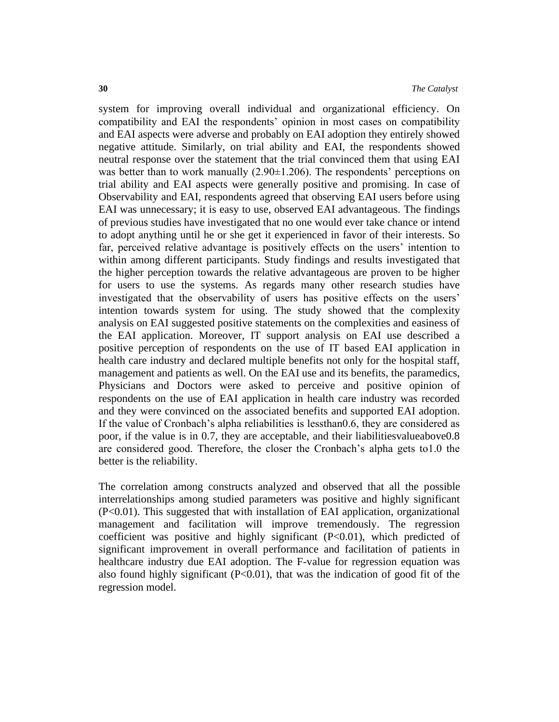system for improving overall individual and organizational efficiency. On compatibility and EAI the respondents' opinion in most cases on compatibility and EAI aspects were adverse and probably on EAI adoption they entirely showed negative attitude. Similarly, on trial ability and EAI, the respondents showed neutral response over the statement that the trial convinced them that using EAI was better than to work manually  $(2.90\pm1.206)$ . The respondents' perceptions on trial ability and EAI aspects were generally positive and promising. In case of Observability and EAI, respondents agreed that observing EAI users before using EAI was unnecessary; it is easy to use, observed EAI advantageous. The findings of previous studies have investigated that no one would ever take chance or intend to adopt anything until he or she get it experienced in favor of their interests. So far, perceived relative advantage is positively effects on the users' intention to within among different participants. Study findings and results investigated that the higher perception towards the relative advantageous are proven to be higher for users to use the systems. As regards many other research studies have investigated that the observability of users has positive effects on the users' intention towards system for using. The study showed that the complexity analysis on EAI suggested positive statements on the complexities and easiness of the EAI application. Moreover, IT support analysis on EAI use described a positive perception of respondents on the use of IT based EAI application in health care industry and declared multiple benefits not only for the hospital staff, management and patients as well. On the EAI use and its benefits, the paramedics, Physicians and Doctors were asked to perceive and positive opinion of respondents on the use of EAI application in health care industry was recorded and they were convinced on the associated benefits and supported EAI adoption. If the value of Cronbach's alpha reliabilities is lessthan0.6, they are considered as poor, if the value is in 0.7, they are acceptable, and their liabilitiesvalueabove0.8 are considered good. Therefore, the closer the Cronbach's alpha gets to1.0 the better is the reliability.

The correlation among constructs analyzed and observed that all the possible interrelationships among studied parameters was positive and highly significant (P<0.01). This suggested that with installation of EAI application, organizational management and facilitation will improve tremendously. The regression coefficient was positive and highly significant (P<0.01), which predicted of significant improvement in overall performance and facilitation of patients in healthcare industry due EAI adoption. The F-value for regression equation was also found highly significant  $(P<0.01)$ , that was the indication of good fit of the regression model.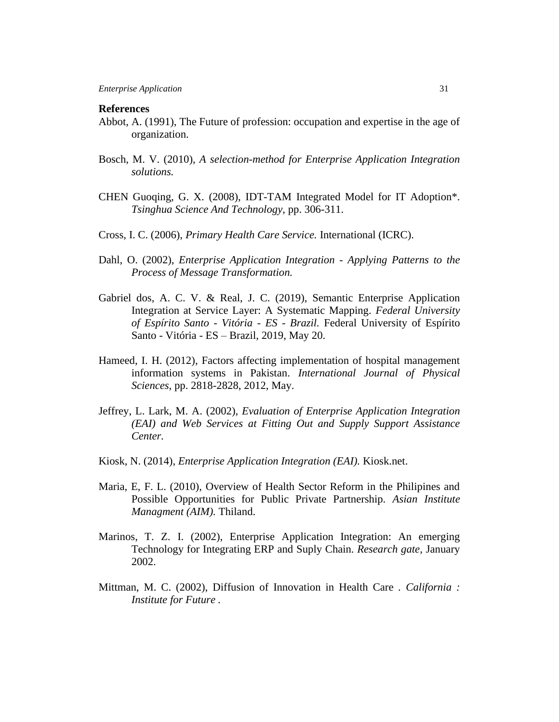#### **References**

- Abbot, A. (1991), The Future of profession: occupation and expertise in the age of organization.
- Bosch, M. V. (2010), *A selection-method for Enterprise Application Integration solutions.*
- CHEN Guoqing, G. X. (2008), IDT-TAM Integrated Model for IT Adoption\*. *Tsinghua Science And Technology*, pp. 306-311.
- Cross, I. C. (2006), *Primary Health Care Service.* International (ICRC).
- Dahl, O. (2002), *Enterprise Application Integration - Applying Patterns to the Process of Message Transformation.*
- Gabriel dos, A. C. V. & Real, J. C. (2019), Semantic Enterprise Application Integration at Service Layer: A Systematic Mapping. *Federal University of Espírito Santo - Vitória - ES - Brazil.* Federal University of Espírito Santo - Vitória - ES – Brazil, 2019, May 20.
- Hameed, I. H. (2012), Factors affecting implementation of hospital management information systems in Pakistan. *International Journal of Physical Sciences*, pp. 2818-2828, 2012, May.
- Jeffrey, L. Lark, M. A. (2002), *Evaluation of Enterprise Application Integration (EAI) and Web Services at Fitting Out and Supply Support Assistance Center.*
- Kiosk, N. (2014), *Enterprise Application Integration (EAI).* Kiosk.net.
- Maria, E, F. L. (2010), Overview of Health Sector Reform in the Philipines and Possible Opportunities for Public Private Partnership. *Asian Institute Managment (AIM).* Thiland.
- Marinos, T. Z. I. (2002), Enterprise Application Integration: An emerging Technology for Integrating ERP and Suply Chain. *Research gate,* January 2002.
- Mittman, M. C. (2002), Diffusion of Innovation in Health Care *. California : Institute for Future .*